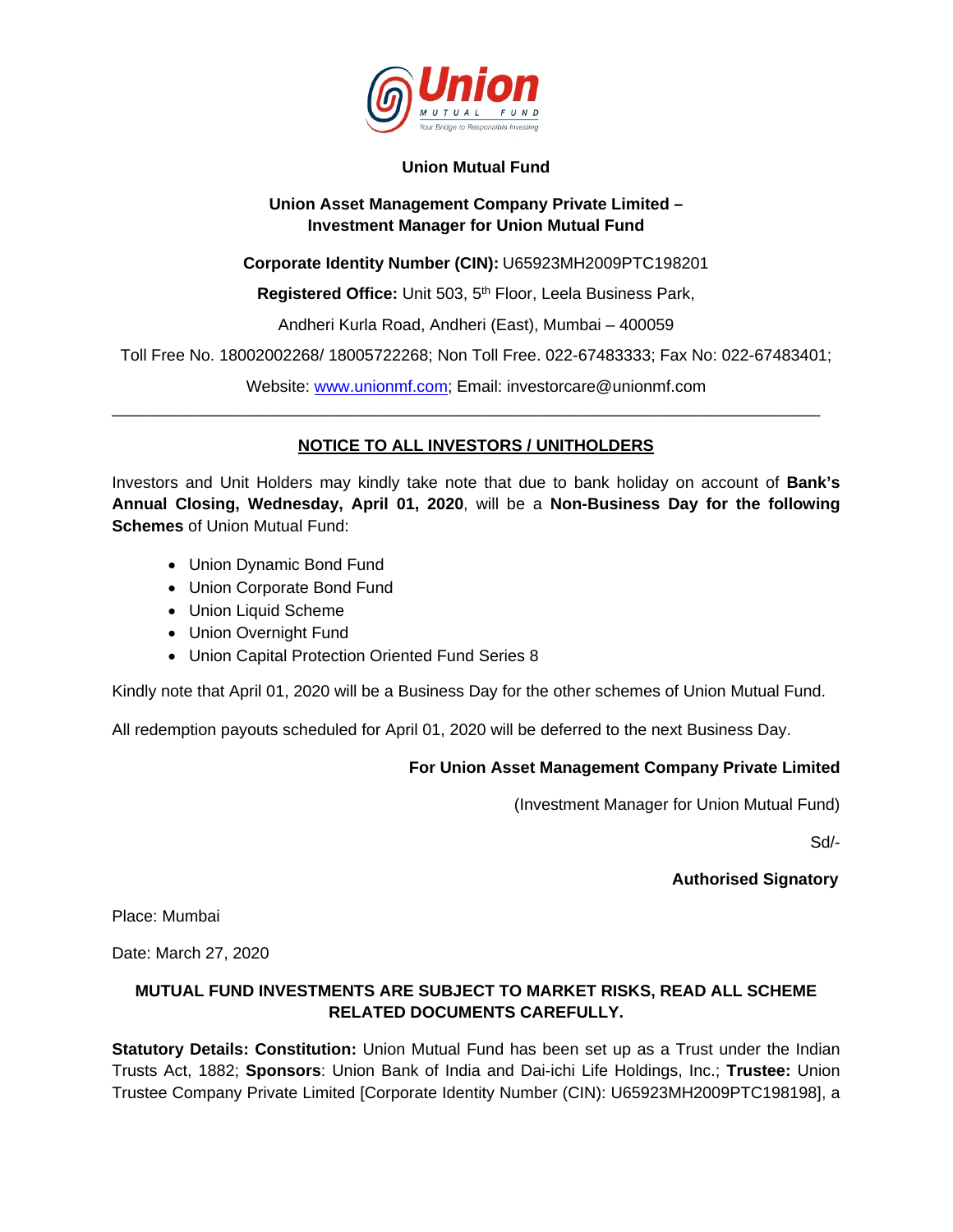

### **Union Mutual Fund**

### **Union Asset Management Company Private Limited – Investment Manager for Union Mutual Fund**

**Corporate Identity Number (CIN):** U65923MH2009PTC198201

**Registered Office:** Unit 503, 5<sup>th</sup> Floor, Leela Business Park,

Andheri Kurla Road, Andheri (East), Mumbai – 400059

Toll Free No. 18002002268/ 18005722268; Non Toll Free. 022-67483333; Fax No: 022-67483401;

Website: www.unionmf.com; Email: investorcare@unionmf.com

# **NOTICE TO ALL INVESTORS / UNITHOLDERS**

\_\_\_\_\_\_\_\_\_\_\_\_\_\_\_\_\_\_\_\_\_\_\_\_\_\_\_\_\_\_\_\_\_\_\_\_\_\_\_\_\_\_\_\_\_\_\_\_\_\_\_\_\_\_\_\_\_\_\_\_\_\_\_\_\_\_\_\_\_\_\_\_\_\_\_\_\_\_

Investors and Unit Holders may kindly take note that due to bank holiday on account of **Bank's Annual Closing, Wednesday, April 01, 2020**, will be a **Non-Business Day for the following Schemes** of Union Mutual Fund:

- Union Dynamic Bond Fund
- Union Corporate Bond Fund
- Union Liquid Scheme
- Union Overnight Fund
- Union Capital Protection Oriented Fund Series 8

Kindly note that April 01, 2020 will be a Business Day for the other schemes of Union Mutual Fund.

All redemption payouts scheduled for April 01, 2020 will be deferred to the next Business Day.

# **For Union Asset Management Company Private Limited**

(Investment Manager for Union Mutual Fund)

Sd/-

# **Authorised Signatory**

Place: Mumbai

Date: March 27, 2020

# **MUTUAL FUND INVESTMENTS ARE SUBJECT TO MARKET RISKS, READ ALL SCHEME RELATED DOCUMENTS CAREFULLY.**

**Statutory Details: Constitution:** Union Mutual Fund has been set up as a Trust under the Indian Trusts Act, 1882; **Sponsors**: Union Bank of India and Dai-ichi Life Holdings, Inc.; **Trustee:** Union Trustee Company Private Limited [Corporate Identity Number (CIN): U65923MH2009PTC198198], a